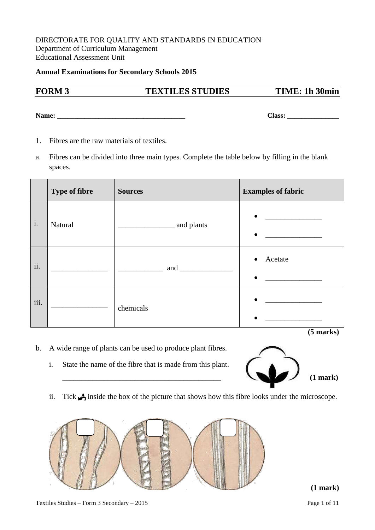#### DIRECTORATE FOR QUALITY AND STANDARDS IN EDUCATION Department of Curriculum Management Educational Assessment Unit

#### **Annual Examinations for Secondary Schools 2015**

# **FORM 3 TEXTILES STUDIES TIME: 1h 30min**

**Name: \_\_\_\_\_\_\_\_\_\_\_\_\_\_\_\_\_\_\_\_\_\_\_\_\_\_\_\_\_\_\_\_\_\_\_\_\_ Class: \_\_\_\_\_\_\_\_\_\_\_\_\_\_\_**

- 1. Fibres are the raw materials of textiles.
- a. Fibres can be divided into three main types. Complete the table below by filling in the blank spaces.

|                | <b>Type of fibre</b> | <b>Sources</b> | <b>Examples of fabric</b>                                                                                                                                                                        |
|----------------|----------------------|----------------|--------------------------------------------------------------------------------------------------------------------------------------------------------------------------------------------------|
| $\mathbf{i}$ . | Natural              | and plants     | $\bullet$<br><u> 1980 - Jan Samuel III, primeira a populație de la primeira a primeira a primeira a primeira a primeira a pri</u><br>$\bullet$<br><u>and the state of the state of the state</u> |
| ii.            |                      |                | Acetate<br>$\bullet$<br>$\bullet$                                                                                                                                                                |
| iii.           |                      | chemicals      | $\bullet$<br>$\bullet$                                                                                                                                                                           |
|                |                      |                | $(5$ marks)                                                                                                                                                                                      |

- b. A wide range of plants can be used to produce plant fibres.
	- i. State the name of the fibre that is made from this plant.



ii. Tick  $\triangleq$  inside the box of the picture that shows how this fibre looks under the microscope.

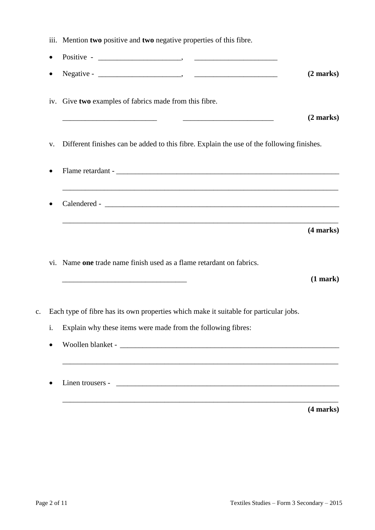|           | iii. Mention two positive and two negative properties of this fibre.                                                 |                     |
|-----------|----------------------------------------------------------------------------------------------------------------------|---------------------|
| $\bullet$ |                                                                                                                      |                     |
| $\bullet$ |                                                                                                                      | $(2 \text{ marks})$ |
|           | iv. Give two examples of fabrics made from this fibre.                                                               |                     |
|           |                                                                                                                      | $(2 \text{ marks})$ |
| V.        | Different finishes can be added to this fibre. Explain the use of the following finishes.                            |                     |
| $\bullet$ |                                                                                                                      |                     |
|           |                                                                                                                      |                     |
|           | ,我们也不能在这里的时候,我们也不能在这里的时候,我们也不能在这里的时候,我们也不能会在这里的时候,我们也不能会在这里的时候,我们也不能会在这里的时候,我们也不                                     | (4 marks)           |
|           |                                                                                                                      |                     |
|           | vi. Name one trade name finish used as a flame retardant on fabrics.                                                 |                     |
|           | <u> 1989 - Johann Barn, mars eta bat erroman erroman erroman erroman erroman erroman erroman erroman erroman err</u> |                     |
|           | Each type of fibre has its own properties which make it suitable for particular jobs.                                | (1 mark)            |
| i.        | Explain why these items were made from the following fibres:                                                         |                     |
|           |                                                                                                                      |                     |

**(4 marks)**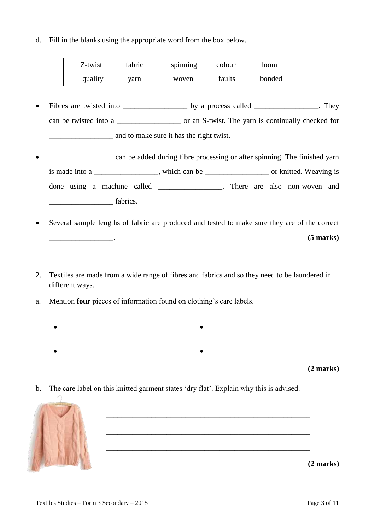d. Fill in the blanks using the appropriate word from the box below.

| Z-twist | fabric | spinning | colour | loom   |
|---------|--------|----------|--------|--------|
| quality | varn   | woven    | faults | bonded |

- Fibres are twisted into by a process called They can be twisted into a \_\_\_\_\_\_\_\_\_\_\_\_\_\_\_\_\_ or an S-twist. The yarn is continually checked for \_\_\_\_\_\_\_\_\_\_\_\_\_\_\_\_\_ and to make sure it has the right twist.
- \_\_\_\_\_\_\_\_\_\_\_\_\_\_\_\_\_ can be added during fibre processing or after spinning. The finished yarn is made into a \_\_\_\_\_\_\_\_\_\_\_\_\_, which can be \_\_\_\_\_\_\_\_\_\_\_\_\_\_\_\_\_\_\_\_ or knitted. Weaving is done using a machine called There are also non-woven and  $fabrics.$
- Several sample lengths of fabric are produced and tested to make sure they are of the correct \_\_\_\_\_\_\_\_\_\_\_\_\_\_\_\_\_. **(5 marks)**
- 2. Textiles are made from a wide range of fibres and fabrics and so they need to be laundered in different ways.
- a. Mention **four** pieces of information found on clothing's care labels.
	- $\bullet$  . The contract of the contract of the contract of the contract of the contract of the contract of the contract of \_\_\_\_\_\_\_\_\_\_\_\_\_\_\_\_\_\_\_\_\_\_\_\_\_\_\_ \_\_\_\_\_\_\_\_\_\_\_\_\_\_\_\_\_\_\_\_\_\_\_\_\_\_\_

\_\_\_\_\_\_\_\_\_\_\_\_\_\_\_\_\_\_\_\_\_\_\_\_\_\_\_\_\_\_\_\_\_\_\_\_\_\_\_\_\_\_\_\_\_\_\_\_\_\_\_\_\_\_

**(2 marks)**

b. The care label on this knitted garment states 'dry flat'. Explain why this is advised.

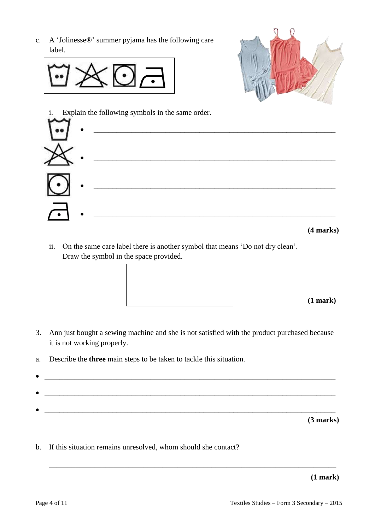c. A 'Jolinesse®' summer pyjama has the following care label.







ii. On the same care label there is another symbol that means 'Do not dry clean'. Draw the symbol in the space provided.

**(1 mark)**

- 3. Ann just bought a sewing machine and she is not satisfied with the product purchased because it is not working properly.
- a. Describe the **three** main steps to be taken to tackle this situation.
- 

\_\_\_\_\_\_\_\_\_\_\_\_\_\_\_\_\_\_\_\_\_\_\_\_\_\_\_\_\_\_\_\_\_\_\_\_\_\_\_\_\_\_\_\_\_\_\_\_\_\_\_\_\_\_\_\_\_\_\_\_\_\_\_\_\_\_\_\_\_\_\_\_\_\_\_\_

**(3 marks)**

b. If this situation remains unresolved, whom should she contact?

**(1 mark)**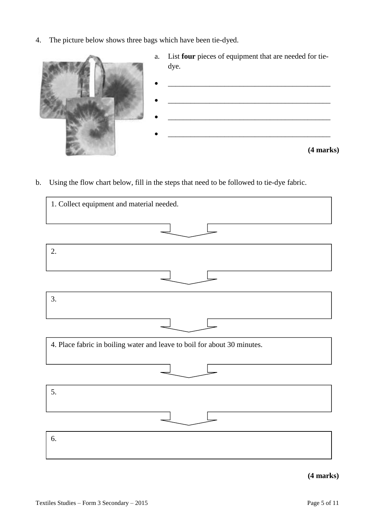4. The picture below shows three bags which have been tie-dyed.



b. Using the flow chart below, fill in the steps that need to be followed to tie-dye fabric.

| 1. Collect equipment and material needed.                                |
|--------------------------------------------------------------------------|
|                                                                          |
|                                                                          |
| 2.                                                                       |
|                                                                          |
|                                                                          |
| 3.                                                                       |
|                                                                          |
|                                                                          |
| 4. Place fabric in boiling water and leave to boil for about 30 minutes. |
|                                                                          |
|                                                                          |
| 5.                                                                       |
|                                                                          |
|                                                                          |
| 6.                                                                       |
|                                                                          |

**(4 marks)**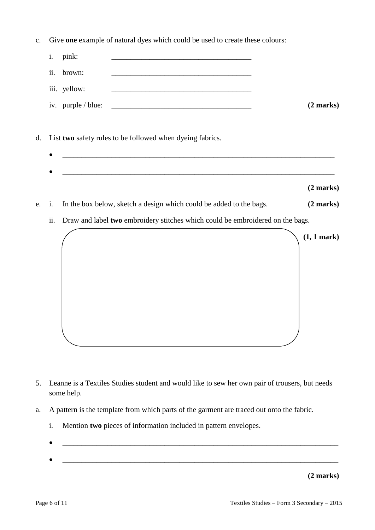c. Give **one** example of natural dyes which could be used to create these colours:

| $i$ . | pink:              |                     |
|-------|--------------------|---------------------|
|       | ii. brown:         |                     |
|       | iii. yellow:       |                     |
|       | iv. purple / blue: | $(2 \text{ marks})$ |
|       |                    |                     |

- d. List **two** safety rules to be followed when dyeing fabrics.
	-
- e. i. In the box below, sketch a design which could be added to the bags. **(2 marks)**
	- ii. Draw and label **two** embroidery stitches which could be embroidered on the bags.



- 5. Leanne is a Textiles Studies student and would like to sew her own pair of trousers, but needs some help.
- a. A pattern is the template from which parts of the garment are traced out onto the fabric.
	- i. Mention **two** pieces of information included in pattern envelopes.
	- \_\_\_\_\_\_\_\_\_\_\_\_\_\_\_\_\_\_\_\_\_\_\_\_\_\_\_\_\_\_\_\_\_\_\_\_\_\_\_\_\_\_\_\_\_\_\_\_\_\_\_\_\_\_\_\_\_\_\_\_\_\_\_\_\_\_\_\_\_\_\_\_\_
	- $\bullet$   $\hspace{0.2cm}$   $\hspace{0.2cm}$   $\hspace{0.2cm}$   $\hspace{0.2cm}$   $\hspace{0.2cm}$   $\hspace{0.2cm}$   $\hspace{0.2cm}$   $\hspace{0.2cm}$   $\hspace{0.2cm}$   $\hspace{0.2cm}$   $\hspace{0.2cm}$   $\hspace{0.2cm}$   $\hspace{0.2cm}$   $\hspace{0.2cm}$   $\hspace{0.2cm}$   $\hspace{0.2cm}$   $\hspace{0.2cm}$   $\hspace{0.2cm}$

**(2 marks)**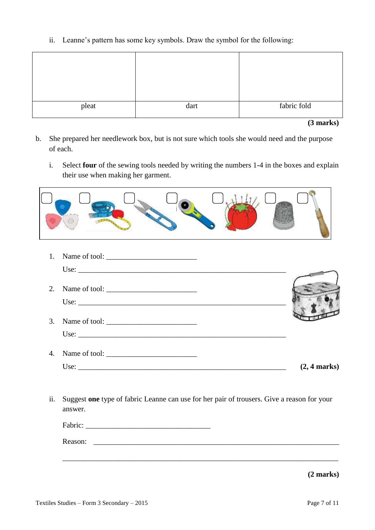ii. Leanne's pattern has some key symbols. Draw the symbol for the following:

| pleat | dart | fabric fold |
|-------|------|-------------|

**(3 marks)**

- b. She prepared her needlework box, but is not sure which tools she would need and the purpose of each.
	- i. Select **four** of the sewing tools needed by writing the numbers 1-4 in the boxes and explain their use when making her garment.

| 1. |                               |                        |
|----|-------------------------------|------------------------|
|    |                               |                        |
| 2. |                               |                        |
|    |                               |                        |
| 3. |                               |                        |
|    | Use: $\overline{\phantom{a}}$ |                        |
| 4. |                               |                        |
|    |                               | $(2, 4 \text{ marks})$ |

ii. Suggest **one** type of fabric Leanne can use for her pair of trousers. Give a reason for your answer.

| Fabric: | <u> 1980 - Jan Samuel Barbara, margaret a shekara 1980 - An tsara 1980 - An tsara 1980 - An tsara 1980 - An tsar</u> |  |
|---------|----------------------------------------------------------------------------------------------------------------------|--|
| Reason: |                                                                                                                      |  |
|         |                                                                                                                      |  |
|         |                                                                                                                      |  |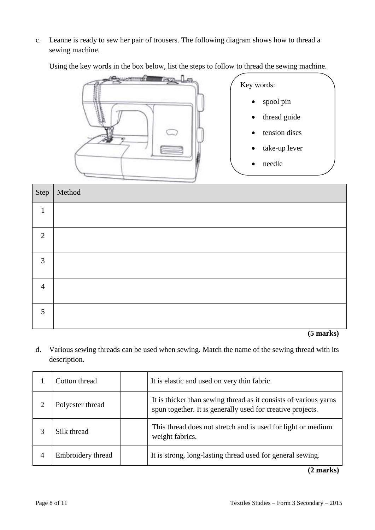c. Leanne is ready to sew her pair of trousers. The following diagram shows how to thread a sewing machine.

Using the key words in the box below, list the steps to follow to thread the sewing machine.



|                | Step   Method |
|----------------|---------------|
| $\mathbf{1}$   |               |
| $\overline{2}$ |               |
| $\mathfrak{Z}$ |               |
| $\overline{4}$ |               |
| 5              |               |

**(5 marks)**

d. Various sewing threads can be used when sewing. Match the name of the sewing thread with its description.

|   | Cotton thread     | It is elastic and used on very thin fabric.                                                                                    |
|---|-------------------|--------------------------------------------------------------------------------------------------------------------------------|
|   | Polyester thread  | It is thicker than sewing thread as it consists of various yarns<br>spun together. It is generally used for creative projects. |
| 3 | Silk thread       | This thread does not stretch and is used for light or medium<br>weight fabrics.                                                |
| 4 | Embroidery thread | It is strong, long-lasting thread used for general sewing.                                                                     |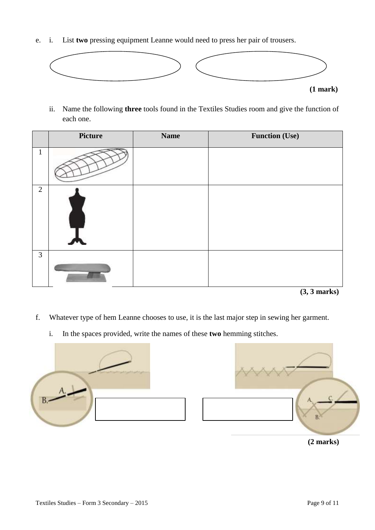e. i. List **two** pressing equipment Leanne would need to press her pair of trousers.



ii. Name the following **three** tools found in the Textiles Studies room and give the function of each one.

|                | <b>Picture</b> | <b>Name</b> | <b>Function (Use)</b> |
|----------------|----------------|-------------|-----------------------|
| л.             |                |             |                       |
| 2              |                |             |                       |
| $\mathfrak{Z}$ |                |             |                       |

**(3, 3 marks)**

- f. Whatever type of hem Leanne chooses to use, it is the last major step in sewing her garment.
	- i. In the spaces provided, write the names of these **two** hemming stitches.



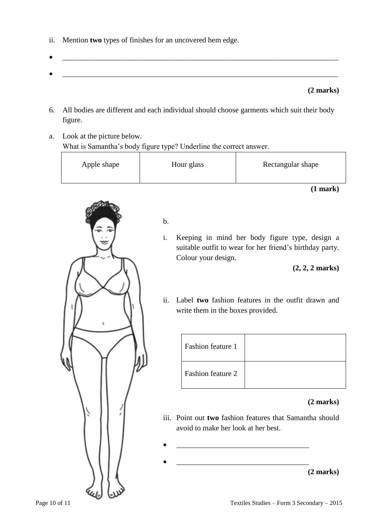- ii. Mention **two** types of finishes for an uncovered hem edge.
- \_\_\_\_\_\_\_\_\_\_\_\_\_\_\_\_\_\_\_\_\_\_\_\_\_\_\_\_\_\_\_\_\_\_\_\_\_\_\_\_\_\_\_\_\_\_\_\_\_\_\_\_\_\_\_\_\_\_\_\_\_\_\_\_\_\_\_\_\_\_\_\_\_

### **(2 marks)**

- 6. All bodies are different and each individual should choose garments which suit their body figure.
- a. Look at the picture below. What is Samantha's body figure type? Underline the correct answer.

| Apple shape | Hour glass | Rectangular shape |
|-------------|------------|-------------------|
|-------------|------------|-------------------|

**(1 mark)**



# b.

i. Keeping in mind her body figure type, design a suitable outfit to wear for her friend's birthday party. Colour your design.

**(2, 2, 2 marks)**

ii. Label **two** fashion features in the outfit drawn and write them in the boxes provided.

| Fashion feature 1 |  |
|-------------------|--|
| Fashion feature 2 |  |

- iii. Point out **two** fashion features that Samantha should avoid to make her look at her best.
	- **(2 marks)**